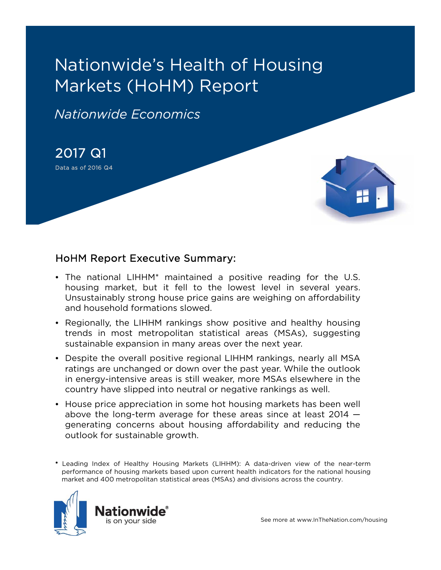# Nationwide's Health of Housing Markets (HoHM) Report

*Nationwide Economics*

2017 Q1 Data as of 2016 Q4



### HoHM Report Executive Summary:

- The national LIHHM\* maintained a positive reading for the U.S. housing market, but it fell to the lowest level in several years. Unsustainably strong house price gains are weighing on affordability and household formations slowed.
- Regionally, the LIHHM rankings show positive and healthy housing trends in most metropolitan statistical areas (MSAs), suggesting sustainable expansion in many areas over the next year.
- Despite the overall positive regional LIHHM rankings, nearly all MSA ratings are unchanged or down over the past year. While the outlook in energy-intensive areas is still weaker, more MSAs elsewhere in the country have slipped into neutral or negative rankings as well.
- House price appreciation in some hot housing markets has been well above the long-term average for these areas since at least 2014 generating concerns about housing affordability and reducing the outlook for sustainable growth.

<sup>\*</sup> Leading Index of Healthy Housing Markets (LIHHM): A data-driven view of the near-term performance of housing markets based upon current health indicators for the national housing market and 400 metropolitan statistical areas (MSAs) and divisions across the country.

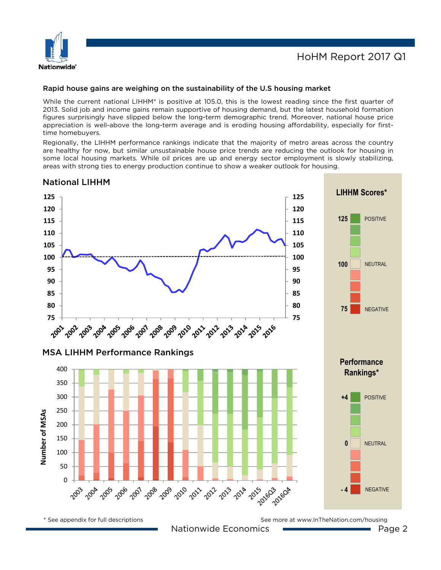

#### Rapid house gains are weighing on the sustainability of the U.S housing market

While the current national LIHHM\* is positive at 105.0, this is the lowest reading since the first quarter of 2013. Solid job and income gains remain supportive of housing demand, but the latest household formation figures surprisingly have slipped below the long-term demographic trend. Moreover, national house price appreciation is well-above the long-term average and is eroding housing affordability, especially for firsttime homebuyers.

Regionally, the LIHHM performance rankings indicate that the majority of metro areas across the country are healthy for now, but similar unsustainable house price trends are reducing the outlook for housing in some local housing markets. While oil prices are up and energy sector employment is slowly stabilizing, areas with strong ties to energy production continue to show a weaker outlook for housing.

### National LIHHM

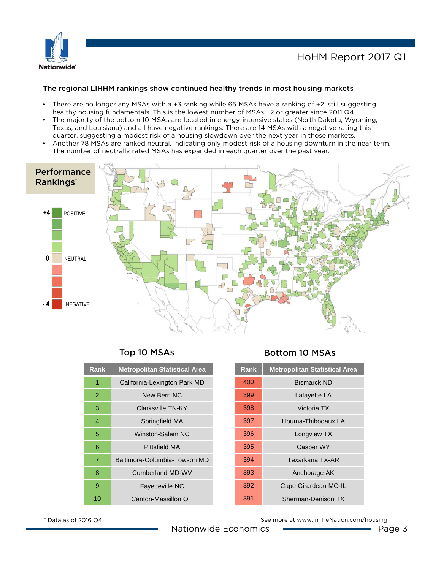

### HoHM Report 2017 Q1

### The regional LIHHM rankings show continued healthy trends in most housing markets

- There are no longer any MSAs with a +3 ranking while 65 MSAs have a ranking of +2, still suggesting healthy housing fundamentals. This is the lowest number of MSAs +2 or greater since 2011 Q4.
- The majority of the bottom 10 MSAs are located in energy-intensive states (North Dakota, Wyoming, Texas, and Louisiana) and all have negative rankings. There are 14 MSAs with a negative rating this quarter, suggesting a modest risk of a housing slowdown over the next year in those markets.
- Another 78 MSAs are ranked neutral, indicating only modest risk of a housing downturn in the near term. The number of neutrally rated MSAs has expanded in each quarter over the past year.



| <b>Rank</b> | <b>Metropolitan Statistical Area</b> |  |
|-------------|--------------------------------------|--|
| 1           | California-Lexington Park MD         |  |
| 2           | New Bern NC                          |  |
| 3           | Clarksville TN-KY                    |  |
| 4           | Springfield MA                       |  |
| 5           | Winston-Salem NC                     |  |
| 6           | Pittsfield MA                        |  |
| 7           | Baltimore-Columbia-Towson MD         |  |
| 8           | <b>Cumberland MD-WV</b>              |  |
| 9           | <b>Fayetteville NC</b>               |  |
| 10          | Canton-Massillon OH                  |  |

### Top 10 MSAs Bottom 10 MSAs

| <b>Rank</b> | <b>Metropolitan Statistical Area</b> |
|-------------|--------------------------------------|
| 400         | <b>Bismarck ND</b>                   |
| 399         | Lafayette LA                         |
| 398         | Victoria TX                          |
| 397         | Houma-Thibodaux I A                  |
| 396         | Longview TX                          |
| 395         | <b>Casper WY</b>                     |
| 394         | Texarkana TX-AR                      |
| 393         | Anchorage AK                         |
| 392         | Cape Girardeau MO-IL                 |
| 391         | Sherman-Denison TX                   |

See more at www.InTheNation.com/housing

† Data as of 2016 Q4

Nationwide Economics Page 3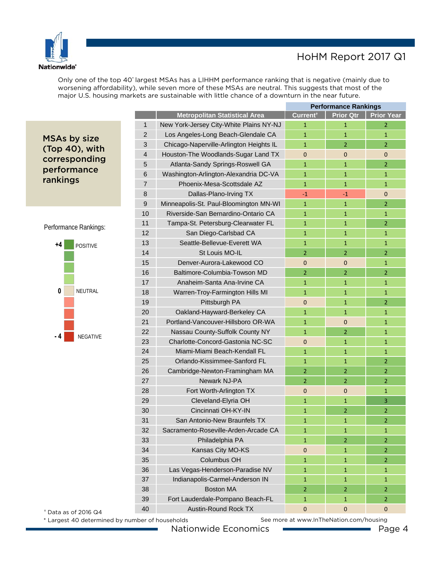

### HoHM Report 2017 Q1

Only one of the top 40\* largest MSAs has a LIHHM performance ranking that is negative (mainly due to worsening affordability), while seven more of these MSAs are neutral. This suggests that most of the major U.S. housing markets are sustainable with little chance of a downturn in the near future.

MSAs by size (Top 40), with corresponding performance rankings

Performance Rankings:



|                |                                         | <b>Performance Rankings</b> |                  |                   |
|----------------|-----------------------------------------|-----------------------------|------------------|-------------------|
|                | <b>Metropolitan Statistical Area</b>    | Current <sup>+</sup>        | <b>Prior Qtr</b> | <b>Prior Year</b> |
| $\mathbf{1}$   | New York-Jersey City-White Plains NY-NJ | $\mathbf{1}$                | $\mathbf{1}$     | $\overline{2}$    |
| 2              | Los Angeles-Long Beach-Glendale CA      | $\mathbf{1}$                | 1                | 1                 |
| 3              | Chicago-Naperville-Arlington Heights IL | $\mathbf{1}$                | $\overline{2}$   | $\overline{2}$    |
| $\overline{4}$ | Houston-The Woodlands-Sugar Land TX     | $\mathbf{0}$                | $\mathbf{0}$     | $\Omega$          |
| 5              | Atlanta-Sandy Springs-Roswell GA        | $\mathbf{1}$                | $\mathbf{1}$     | $\overline{2}$    |
| 6              | Washington-Arlington-Alexandria DC-VA   | $\mathbf{1}$                | $\mathbf{1}$     | 1                 |
| $\overline{7}$ | Phoenix-Mesa-Scottsdale AZ              | $\mathbf{1}$                | $\mathbf{1}$     | $\mathbf{1}$      |
| 8              | Dallas-Plano-Irving TX                  | $-1$                        | $-1$             | $\Omega$          |
| 9              | Minneapolis-St. Paul-Bloomington MN-WI  | $\mathbf{1}$                | $\mathbf{1}$     | $\overline{2}$    |
| 10             | Riverside-San Bernardino-Ontario CA     | $\mathbf{1}$                | $\mathbf{1}$     | $\mathbf{1}$      |
| 11             | Tampa-St. Petersburg-Clearwater FL      | $\mathbf{1}$                | $\mathbf{1}$     | $\overline{2}$    |
| 12             | San Diego-Carlsbad CA                   | $\mathbf{1}$                | $\mathbf{1}$     | $\mathbf{1}$      |
| 13             | Seattle-Bellevue-Everett WA             | $\mathbf{1}$                | 1                | $\mathbf{1}$      |
| 14             | St Louis MO-IL                          | $\overline{2}$              | $\overline{2}$   | $\overline{2}$    |
| 15             | Denver-Aurora-Lakewood CO               | $\Omega$                    | $\Omega$         | $\mathbf{1}$      |
| 16             | Baltimore-Columbia-Towson MD            | $\overline{2}$              | $\overline{2}$   | $\overline{2}$    |
| 17             | Anaheim-Santa Ana-Irvine CA             | $\mathbf{1}$                | $\mathbf{1}$     | $\mathbf{1}$      |
| 18             | Warren-Troy-Farmington Hills MI         | $\mathbf{1}$                | $\mathbf{1}$     | $\mathbf{1}$      |
| 19             | Pittsburgh PA                           | $\mathbf{0}$                | $\mathbf{1}$     | $\overline{2}$    |
| 20             | Oakland-Hayward-Berkeley CA             | $\mathbf{1}$                | $\mathbf{1}$     | 1                 |
| 21             | Portland-Vancouver-Hillsboro OR-WA      | $\mathbf{1}$                | $\mathbf{0}$     | $\mathbf{1}$      |
| 22             | Nassau County-Suffolk County NY         | $\mathbf{1}$                | $\overline{2}$   | $\mathbf{1}$      |
| 23             | Charlotte-Concord-Gastonia NC-SC        | $\Omega$                    | $\mathbf{1}$     | $\mathbf{1}$      |
| 24             | Miami-Miami Beach-Kendall FL            | $\mathbf{1}$                | $\mathbf{1}$     | $\mathbf{1}$      |
| 25             | Orlando-Kissimmee-Sanford FL            | $\mathbf{1}$                | $\mathbf{1}$     | $\overline{2}$    |
| 26             | Cambridge-Newton-Framingham MA          | $\overline{2}$              | $\overline{2}$   | $\overline{2}$    |
| 27             | Newark NJ-PA                            | $\overline{2}$              | $\overline{2}$   | 2                 |
| 28             | Fort Worth-Arlington TX                 | $\mathbf 0$                 | $\mathbf{0}$     | $\mathbf{1}$      |
| 29             | Cleveland-Elyria OH                     | $\mathbf{1}$                | $\mathbf{1}$     | 3                 |
| 30             | Cincinnati OH-KY-IN                     | $\mathbf{1}$                | $\overline{2}$   | $\overline{2}$    |
| 31             | San Antonio-New Braunfels TX            | $\mathbf{1}$                | $\mathbf{1}$     | 2                 |
| 32             | Sacramento-Roseville-Arden-Arcade CA    | $\mathbf{1}$                | $\mathbf{1}$     | $\mathbf{1}$      |
| 33             | Philadelphia PA                         | $\mathbf{1}$                | $\overline{2}$   | $\overline{2}$    |
| 34             | Kansas City MO-KS                       | $\mathbf{0}$                | $\mathbf{1}$     | $\overline{2}$    |
| 35             | Columbus OH                             | $\mathbf{1}$                | $\mathbf{1}$     | $\overline{2}$    |
| 36             | Las Vegas-Henderson-Paradise NV         | $\mathbf{1}$                | $\mathbf{1}$     | $\mathbf{1}$      |
| 37             | Indianapolis-Carmel-Anderson IN         | $\mathbf{1}$                | $\mathbf{1}$     | $\mathbf{1}$      |
| 38             | <b>Boston MA</b>                        | $\overline{2}$              | $\overline{2}$   | $\overline{2}$    |
| 39             | Fort Lauderdale-Pompano Beach-FL        | $\mathbf{1}$                | $\mathbf{1}$     | $\overline{2}$    |
| 40             | Austin-Round Rock TX                    | $\mathbf 0$                 | $\mathbf{0}$     | $\mathbf 0$       |

† Data as of 2016 Q4

\* Largest 40 determined by number of households

Nationwide Economics Page 4

See more at www.InTheNation.com/housing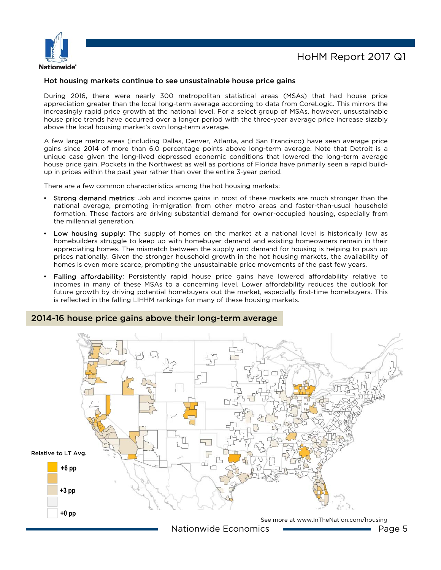

### Hot housing markets continue to see unsustainable house price gains

During 2016, there were nearly 300 metropolitan statistical areas (MSAs) that had house price appreciation greater than the local long-term average according to data from CoreLogic. This mirrors the increasingly rapid price growth at the national level. For a select group of MSAs, however, unsustainable house price trends have occurred over a longer period with the three-year average price increase sizably above the local housing market's own long-term average.

A few large metro areas (including Dallas, Denver, Atlanta, and San Francisco) have seen average price gains since 2014 of more than 6.0 percentage points above long-term average. Note that Detroit is a unique case given the long-lived depressed economic conditions that lowered the long-term average house price gain. Pockets in the Northwest as well as portions of Florida have primarily seen a rapid buildup in prices within the past year rather than over the entire 3-year period.

There are a few common characteristics among the hot housing markets:

- Strong demand metrics: Job and income gains in most of these markets are much stronger than the national average, promoting in-migration from other metro areas and faster-than-usual household formation. These factors are driving substantial demand for owner-occupied housing, especially from the millennial generation.
- Low housing supply: The supply of homes on the market at a national level is historically low as homebuilders struggle to keep up with homebuyer demand and existing homeowners remain in their appreciating homes. The mismatch between the supply and demand for housing is helping to push up prices nationally. Given the stronger household growth in the hot housing markets, the availability of homes is even more scarce, prompting the unsustainable price movements of the past few years.
- Falling affordability: Persistently rapid house price gains have lowered affordability relative to incomes in many of these MSAs to a concerning level. Lower affordability reduces the outlook for future growth by driving potential homebuyers out the market, especially first-time homebuyers. This is reflected in the falling LIHHM rankings for many of these housing markets.

### 2014-16 house price gains above their long-term average

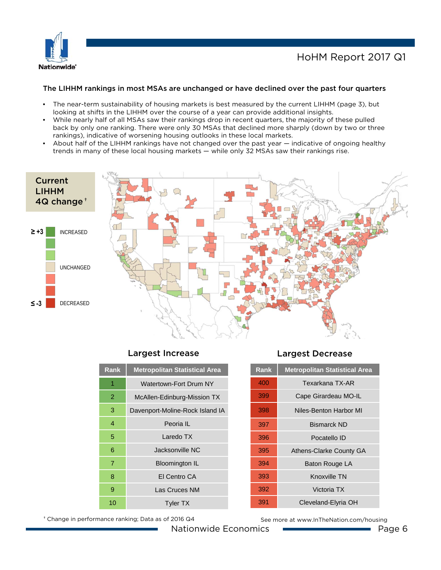

### HoHM Report 2017 Q1

### The LIHHM rankings in most MSAs are unchanged or have declined over the past four quarters

- The near-term sustainability of housing markets is best measured by the current LIHHM (page 3), but looking at shifts in the LIHHM over the course of a year can provide additional insights.
- While nearly half of all MSAs saw their rankings drop in recent quarters, the majority of these pulled back by only one ranking. There were only 30 MSAs that declined more sharply (down by two or three rankings), indicative of worsening housing outlooks in these local markets.
- About half of the LIHHM rankings have not changed over the past year indicative of ongoing healthy trends in many of these local housing markets — while only 32 MSAs saw their rankings rise.



### Largest Increase Largest Decrease

| <b>Rank</b> | <b>Metropolitan Statistical Area</b> |  |
|-------------|--------------------------------------|--|
| 1           | Watertown-Fort Drum NY               |  |
| 2           | McAllen-Edinburg-Mission TX          |  |
| 3           | Davenport-Moline-Rock Island IA      |  |
| 4           | Peoria IL                            |  |
| 5           | Laredo TX                            |  |
| 6           | Jacksonville NC                      |  |
| 7           | <b>Bloomington IL</b>                |  |
| 8           | El Centro CA                         |  |
| 9           | Las Cruces NM                        |  |
| 10          | <b>Tyler TX</b>                      |  |

† Change in performance ranking; Data as of 2016 Q4

| <b>Rank</b> | <b>Metropolitan Statistical Area</b> |  |
|-------------|--------------------------------------|--|
| 400         | Texarkana TX-AR                      |  |
| 399         | Cape Girardeau MO-IL                 |  |
| 398         | Niles-Benton Harbor MI               |  |
| 397         | <b>Bismarck ND</b>                   |  |
| 396         | Pocatello ID                         |  |
| 395         | <b>Athens-Clarke County GA</b>       |  |
| 394         | Baton Rouge LA                       |  |
| 393         | Knoxville TN                         |  |
| 392         | Victoria TX                          |  |
| 391         | Cleveland-Elyria OH                  |  |
|             |                                      |  |

See more at www.InTheNation.com/housing

Nationwide Economics **Page 6** Page 6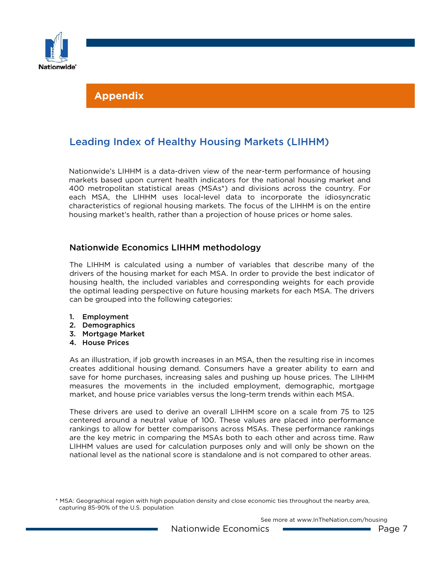

### Leading Index of Healthy Housing Markets (LIHHM)

Nationwide's LIHHM is a data-driven view of the near-term performance of housing markets based upon current health indicators for the national housing market and 400 metropolitan statistical areas (MSAs\*) and divisions across the country. For each MSA, the LIHHM uses local-level data to incorporate the idiosyncratic characteristics of regional housing markets. The focus of the LIHHM is on the entire housing market's health, rather than a projection of house prices or home sales.

### Nationwide Economics LIHHM methodology

The LIHHM is calculated using a number of variables that describe many of the drivers of the housing market for each MSA. In order to provide the best indicator of housing health, the included variables and corresponding weights for each provide the optimal leading perspective on future housing markets for each MSA. The drivers can be grouped into the following categories:

- 1. Employment
- 2. Demographics
- 3. Mortgage Market
- 4. House Prices

As an illustration, if job growth increases in an MSA, then the resulting rise in incomes creates additional housing demand. Consumers have a greater ability to earn and save for home purchases, increasing sales and pushing up house prices. The LIHHM measures the movements in the included employment, demographic, mortgage market, and house price variables versus the long-term trends within each MSA.

These drivers are used to derive an overall LIHHM score on a scale from 75 to 125 centered around a neutral value of 100. These values are placed into performance rankings to allow for better comparisons across MSAs. These performance rankings are the key metric in comparing the MSAs both to each other and across time. Raw LIHHM values are used for calculation purposes only and will only be shown on the national level as the national score is standalone and is not compared to other areas.

<sup>\*</sup> MSA: Geographical region with high population density and close economic ties throughout the nearby area, capturing 85-90% of the U.S. population